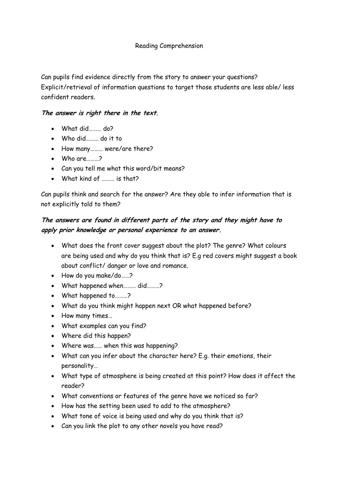## Reading Comprehension

Can pupils find evidence directly from the story to answer your questions? Explicit/retrieval of information questions to target those students are less able/ less confident readers.

## **The answer is right there in the text.**

- What did……… do?
- Who did……… do it to
- How many……… were/are there?
- Who are………?
- Can you tell me what this word/bit means?
- What kind of ……… is that?

Can pupils think and search for the answer? Are they able to infer information that is not explicitly told to them?

## **The answers are found in different parts of the story and they might have to apply prior knowledge or personal experience to an answer.**

- What does the front cover suggest about the plot? The genre? What colours are being used and why do you think that is? E.g red covers might suggest a book about conflict/ danger or love and romance.
- How do you make/do……?
- What happened when……… did………?
- What happened to………?
- What do you think might happen next OR what happened before?
- How many times…
- What examples can you find?
- Where did this happen?
- Where was…… when this was happening?
- What can you infer about the character here? E.g. their emotions, their personality…
- What type of atmosphere is being created at this point? How does it affect the reader?
- What conventions or features of the genre have we noticed so far?
- How has the setting been used to add to the atmosphere?
- What tone of voice is being used and why do you think that is?
- Can you link the plot to any other novels you have read?